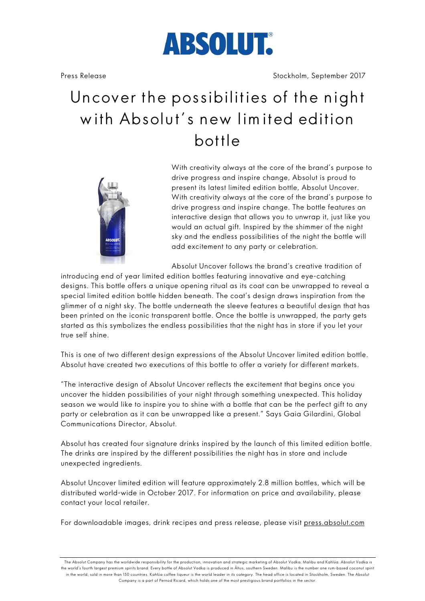

# Uncover the possibilities of the night with Absolut's new lim ited edition bottle



With creativity always at the core of the brand's purpose to drive progress and inspire change, Absolut is proud to present its latest limited edition bottle, Absolut Uncover. With creativity always at the core of the brand's purpose to drive progress and inspire change. The bottle features an interactive design that allows you to unwrap it, just like you would an actual gift. Inspired by the shimmer of the night sky and the endless possibilities of the night the bottle will add excitement to any party or celebration.

Absolut Uncover follows the brand's creative tradition of

introducing end of year limited edition bottles featuring innovative and eye-catching designs. This bottle offers a unique opening ritual as its coat can be unwrapped to reveal a special limited edition bottle hidden beneath. The coat's design draws inspiration from the glimmer of a night sky. The bottle underneath the sleeve features a beautiful design that has been printed on the iconic transparent bottle. Once the bottle is unwrapped, the party gets started as this symbolizes the endless possibilities that the night has in store if you let your true self shine.

This is one of two different design expressions of the Absolut Uncover limited edition bottle. Absolut have created two executions of this bottle to offer a variety for different markets.

"The interactive design of Absolut Uncover reflects the excitement that begins once you uncover the hidden possibilities of your night through something unexpected. This holiday season we would like to inspire you to shine with a bottle that can be the perfect gift to any party or celebration as it can be unwrapped like a present." Says Gaia Gilardini, Global Communications Director, Absolut.

Absolut has created four signature drinks inspired by the launch of this limited edition bottle. The drinks are inspired by the different possibilities the night has in store and include unexpected ingredients.

Absolut Uncover limited edition will feature approximately 2.8 million bottles, which will be distributed world-wide in October 2017. For information on price and availability, please contact your local retailer.

For downloadable images, drink recipes and press release, please visit press.absolut.com

The Absolut Company has the worldwide responsibility for the production, innovation and strategic marketing of Absolut Vodka, Malibu and Kahlúa. Absolut Vodka is the world's fourth largest premium spirits brand. Every bottle of Absolut Vodka is produced in Åhus, southern Sweden. Malibu is the number one rum-based coconut spirit in the world, sold in more than 150 countries. Kahlúa coffee liqueur is the world leader in its category. The head office is located in Stockholm, Sweden. The Absolut Company is a part of Pernod Ricard, which holds one of the most prestigious brand portfolios in the sector.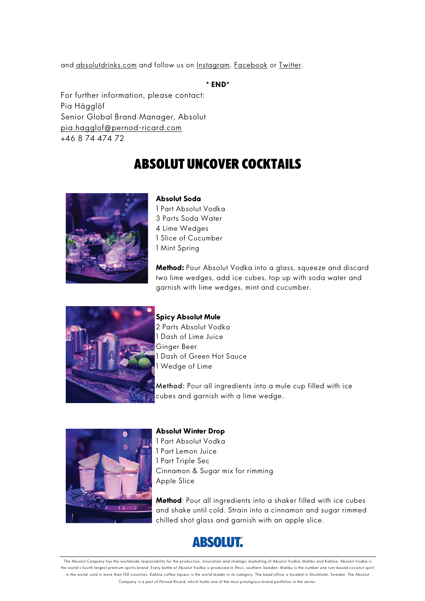and absolutdrinks.com and follow us on Instagram, Facebook or Twitter.

**\* END\***

For further information, please contact: Pia Hägglöf Senior Global Brand Manager, Absolut pia.hagglof@pernod-ricard.com +46 8 74 474 72

# Absolut uncover Cocktails



## **Absolut Soda**

1 Part Absolut Vodka 3 Parts Soda Water 4 Lime Wedges 1 Slice of Cucumber 1 Mint Spring

**Method:** Pour Absolut Vodka into a glass, squeeze and discard two lime wedges, add ice cubes, top up with soda water and garnish with lime wedges, mint and cucumber.



**Spicy Absolut Mule**

2 Parts Absolut Vodka 1 Dash of Lime Juice Ginger Beer 1 Dash of Green Hot Sauce 1 Wedge of Lime

Method: Pour all ingredients into a mule cup filled with ice cubes and garnish with a lime wedge.



### **Absolut Winter Drop**

1 Part Absolut Vodka 1 Part Lemon Juice 1 Part Triple Sec Cinnamon & Sugar mix for rimming Apple Slice

**Method**: Pour all ingredients into a shaker filled with ice cubes and shake until cold. Strain into a cinnamon and sugar rimmed chilled shot glass and garnish with an apple slice.



The Absolut Company has the worldwide responsibility for the production, innovation and strategic marketing of Absolut Vodka, Malibu and Kahlúa. Absolut Vodka is the world's fourth largest premium spirits brand. Every bottle of Absolut Vodka is produced in Åhus, southern Sweden. Malibu is the number one rum-based coconut spirit in the world, sold in more than 150 countries. Kahlúa coffee liqueur is the world leader in its category. The head office is located in Stockholm, Sweden. The Absolut Company is a part of Pernod Ricard, which holds one of the most prestigious brand portfolios in the sector.